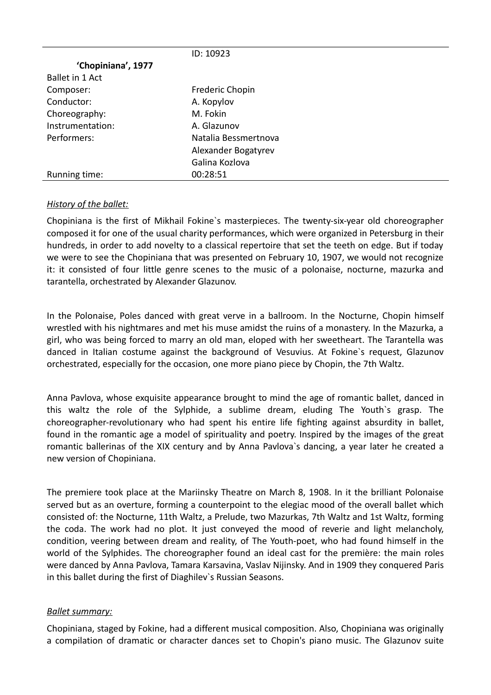|                    | ID: 10923            |
|--------------------|----------------------|
| 'Chopiniana', 1977 |                      |
| Ballet in 1 Act    |                      |
| Composer:          | Frederic Chopin      |
| Conductor:         | A. Kopylov           |
| Choreography:      | M. Fokin             |
| Instrumentation:   | A. Glazunov          |
| Performers:        | Natalia Bessmertnova |
|                    | Alexander Bogatyrev  |
|                    | Galina Kozlova       |
| Running time:      | 00:28:51             |

## *History of the ballet:*

Chopiniana is the first of Mikhail Fokine`s masterpieces. The twenty-six-year old choreographer composed it for one of the usual charity performances, which were organized in Petersburg in their hundreds, in order to add novelty to a classical repertoire that set the teeth on edge. But if today we were to see the Chopiniana that was presented on February 10, 1907, we would not recognize it: it consisted of four little genre scenes to the music of a polonaise, nocturne, mazurka and tarantella, orchestrated by Alexander Glazunov.

In the Polonaise, Poles danced with great verve in a ballroom. In the Nocturne, Chopin himself wrestled with his nightmares and met his muse amidst the ruins of a monastery. In the Mazurka, a girl, who was being forced to marry an old man, eloped with her sweetheart. The Tarantella was danced in Italian costume against the background of Vesuvius. At Fokine`s request, Glazunov orchestrated, especially for the occasion, one more piano piece by Chopin, the 7th Waltz.

Anna Pavlova, whose exquisite appearance brought to mind the age of romantic ballet, danced in this waltz the role of the Sylphide, a sublime dream, eluding The Youth`s grasp. The choreographer-revolutionary who had spent his entire life fighting against absurdity in ballet, found in the romantic age a model of spirituality and poetry. Inspired by the images of the great romantic ballerinas of the XIX century and by Anna Pavlova`s dancing, a year later he created a new version of Chopiniana.

The premiere took place at the Mariinsky Theatre on March 8, 1908. In it the brilliant Polonaise served but as an overture, forming a counterpoint to the elegiac mood of the overall ballet which consisted of: the Nocturne, 11th Waltz, a Prelude, two Mazurkas, 7th Waltz and 1st Waltz, forming the coda. The work had no plot. It just conveyed the mood of reverie and light melancholy, condition, veering between dream and reality, of The Youth-poet, who had found himself in the world of the Sylphides. The choreographer found an ideal cast for the première: the main roles were danced by Anna Pavlova, Tamara Karsavina, Vaslav Nijinsky. And in 1909 they conquered Paris in this ballet during the first of Diaghilev`s Russian Seasons.

## *Ballet summary:*

Chopiniana, staged by Fokine, had a different musical composition. Also, Chopiniana was originally a compilation of dramatic or character dances set to Chopin's piano music. The Glazunov suite